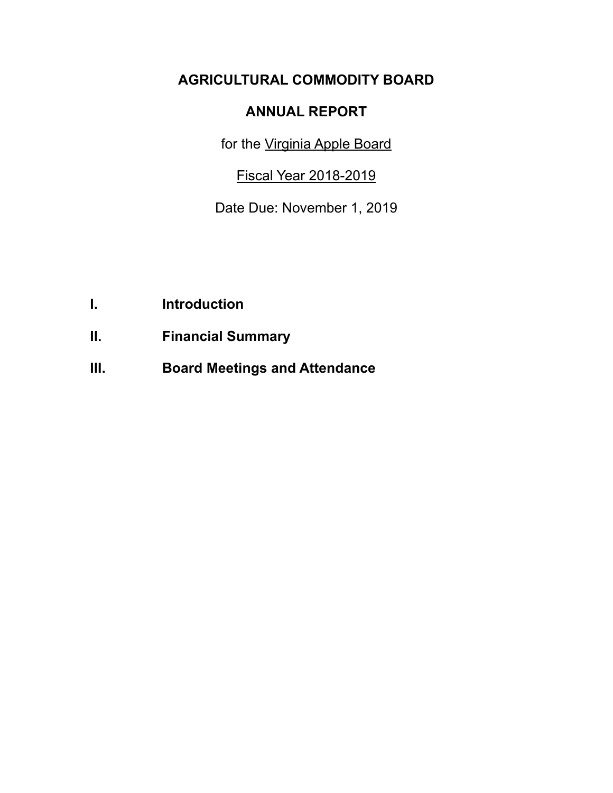# **AGRICULTURAL COMMODITY BOARD**

## **ANNUAL REPORT**

for the Virginia Apple Board

Fiscal Year 2018-2019

Date Due: November 1, 2019

- **I. Introduction**
- **II. Financial Summary**
- **III. Board Meetings and Attendance**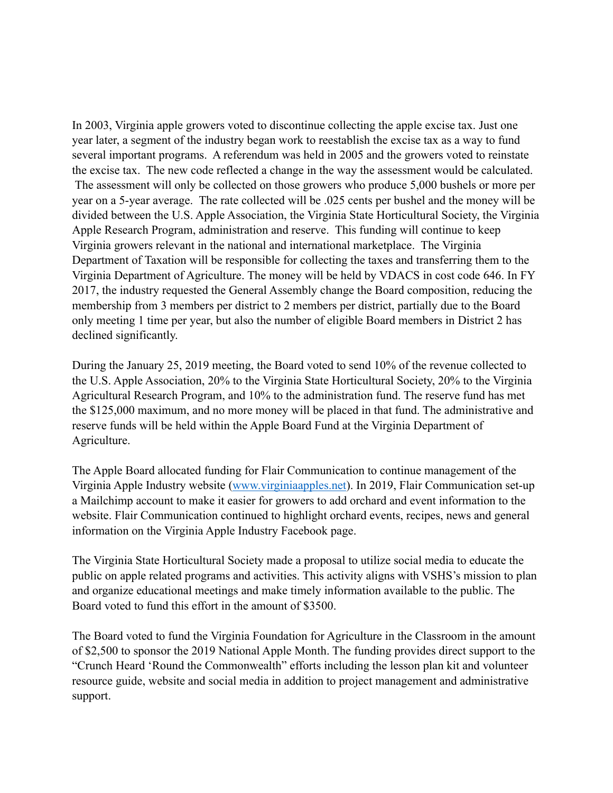In 2003, Virginia apple growers voted to discontinue collecting the apple excise tax. Just one year later, a segment of the industry began work to reestablish the excise tax as a way to fund several important programs. A referendum was held in 2005 and the growers voted to reinstate the excise tax. The new code reflected a change in the way the assessment would be calculated. The assessment will only be collected on those growers who produce 5,000 bushels or more per year on a 5-year average. The rate collected will be .025 cents per bushel and the money will be divided between the U.S. Apple Association, the Virginia State Horticultural Society, the Virginia Apple Research Program, administration and reserve. This funding will continue to keep Virginia growers relevant in the national and international marketplace. The Virginia Department of Taxation will be responsible for collecting the taxes and transferring them to the Virginia Department of Agriculture. The money will be held by VDACS in cost code 646. In FY 2017, the industry requested the General Assembly change the Board composition, reducing the membership from 3 members per district to 2 members per district, partially due to the Board only meeting 1 time per year, but also the number of eligible Board members in District 2 has declined significantly.

During the January 25, 2019 meeting, the Board voted to send 10% of the revenue collected to the U.S. Apple Association, 20% to the Virginia State Horticultural Society, 20% to the Virginia Agricultural Research Program, and 10% to the administration fund. The reserve fund has met the \$125,000 maximum, and no more money will be placed in that fund. The administrative and reserve funds will be held within the Apple Board Fund at the Virginia Department of Agriculture.

The Apple Board allocated funding for Flair Communication to continue management of the Virginia Apple Industry website [\(www.virginiaapples.net](http://www.virginiaapples.net)). In 2019, Flair Communication set-up a Mailchimp account to make it easier for growers to add orchard and event information to the website. Flair Communication continued to highlight orchard events, recipes, news and general information on the Virginia Apple Industry Facebook page.

The Virginia State Horticultural Society made a proposal to utilize social media to educate the public on apple related programs and activities. This activity aligns with VSHS's mission to plan and organize educational meetings and make timely information available to the public. The Board voted to fund this effort in the amount of \$3500.

The Board voted to fund the Virginia Foundation for Agriculture in the Classroom in the amount of \$2,500 to sponsor the 2019 National Apple Month. The funding provides direct support to the "Crunch Heard 'Round the Commonwealth" efforts including the lesson plan kit and volunteer resource guide, website and social media in addition to project management and administrative support.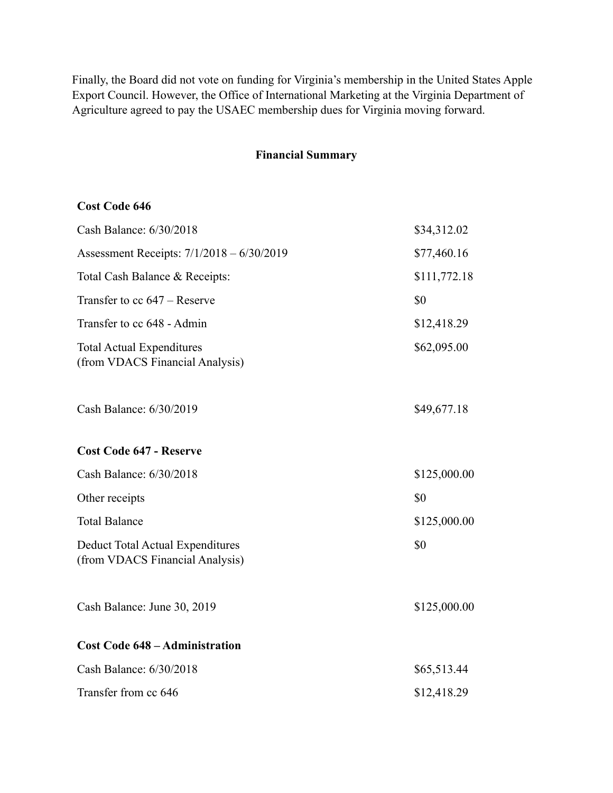Finally, the Board did not vote on funding for Virginia's membership in the United States Apple Export Council. However, the Office of International Marketing at the Virginia Department of Agriculture agreed to pay the USAEC membership dues for Virginia moving forward.

#### **Financial Summary**

#### **Cost Code 646**

| Cash Balance: 6/30/2018                                                    | \$34,312.02  |
|----------------------------------------------------------------------------|--------------|
| Assessment Receipts: 7/1/2018 - 6/30/2019                                  | \$77,460.16  |
| Total Cash Balance & Receipts:                                             | \$111,772.18 |
| Transfer to cc 647 - Reserve                                               | \$0          |
| Transfer to cc 648 - Admin                                                 | \$12,418.29  |
| <b>Total Actual Expenditures</b><br>(from VDACS Financial Analysis)        | \$62,095.00  |
| Cash Balance: 6/30/2019                                                    | \$49,677.18  |
| <b>Cost Code 647 - Reserve</b>                                             |              |
| Cash Balance: 6/30/2018                                                    | \$125,000.00 |
| Other receipts                                                             | \$0          |
| <b>Total Balance</b>                                                       | \$125,000.00 |
| <b>Deduct Total Actual Expenditures</b><br>(from VDACS Financial Analysis) | \$0          |
| Cash Balance: June 30, 2019                                                | \$125,000.00 |
| <b>Cost Code 648 – Administration</b>                                      |              |
| Cash Balance: 6/30/2018                                                    | \$65,513.44  |
| Transfer from cc 646                                                       | \$12,418.29  |